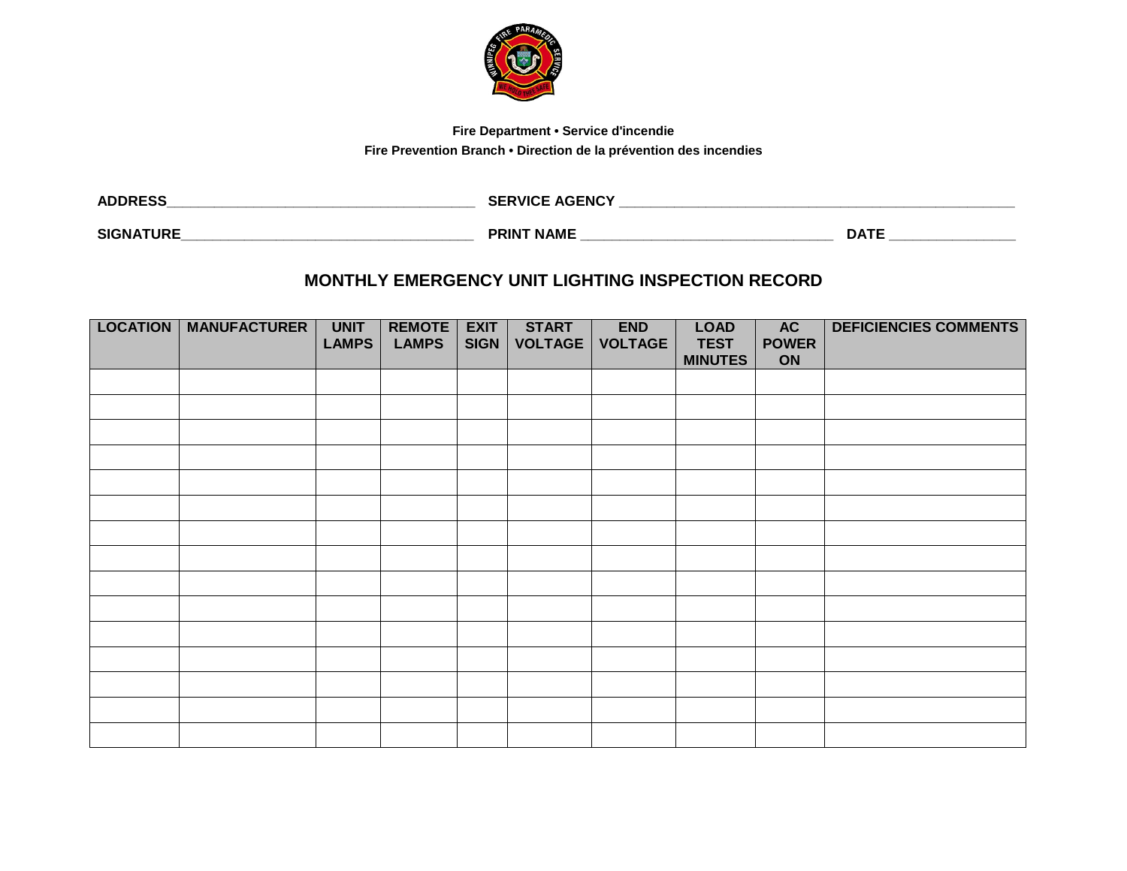

## **Fire Department • Service d'incendie**

**Fire Prevention Branch • Direction de la prévention des incendies**

| <b>ADDRESS</b>   | <b>SERVICE AGENCY</b> |             |
|------------------|-----------------------|-------------|
| <b>SIGNATURE</b> | <b>PRINT NAME</b>     | <b>DATE</b> |

## **MONTHLY EMERGENCY UNIT LIGHTING INSPECTION RECORD**

| <b>LOCATION</b> | <b>MANUFACTURER</b> | <b>UNIT</b><br><b>LAMPS</b> | <b>REMOTE</b><br><b>LAMPS</b> | <b>EXIT</b><br><b>SIGN</b> | <b>START</b><br><b>VOLTAGE</b> | <b>END</b><br><b>VOLTAGE</b> | <b>LOAD</b><br><b>TEST</b><br><b>MINUTES</b> | AC<br><b>POWER</b><br>ON | <b>DEFICIENCIES COMMENTS</b> |
|-----------------|---------------------|-----------------------------|-------------------------------|----------------------------|--------------------------------|------------------------------|----------------------------------------------|--------------------------|------------------------------|
|                 |                     |                             |                               |                            |                                |                              |                                              |                          |                              |
|                 |                     |                             |                               |                            |                                |                              |                                              |                          |                              |
|                 |                     |                             |                               |                            |                                |                              |                                              |                          |                              |
|                 |                     |                             |                               |                            |                                |                              |                                              |                          |                              |
|                 |                     |                             |                               |                            |                                |                              |                                              |                          |                              |
|                 |                     |                             |                               |                            |                                |                              |                                              |                          |                              |
|                 |                     |                             |                               |                            |                                |                              |                                              |                          |                              |
|                 |                     |                             |                               |                            |                                |                              |                                              |                          |                              |
|                 |                     |                             |                               |                            |                                |                              |                                              |                          |                              |
|                 |                     |                             |                               |                            |                                |                              |                                              |                          |                              |
|                 |                     |                             |                               |                            |                                |                              |                                              |                          |                              |
|                 |                     |                             |                               |                            |                                |                              |                                              |                          |                              |
|                 |                     |                             |                               |                            |                                |                              |                                              |                          |                              |
|                 |                     |                             |                               |                            |                                |                              |                                              |                          |                              |
|                 |                     |                             |                               |                            |                                |                              |                                              |                          |                              |